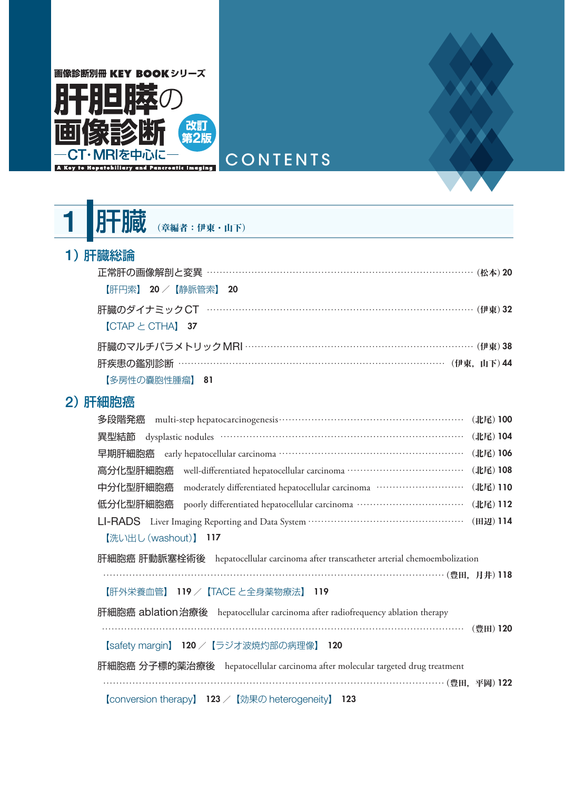

1 肝臓 (章編者:伊東·山下)

#### 1)肝臓総論

| 正常肝の画像解剖と変異 …………………………………………………………………………… (松本) 20   |  |
|-----------------------------------------------------|--|
| 【肝円索】 20 /【静脈管索】 20                                 |  |
| 肝臓のダイナミック CT …………………………………………………………………………… (伊東) 32  |  |
| $[CTAP \succeq CTHA]$ 37                            |  |
| 肝臓のマルチパラメトリック MRI ………………………………………………………………… (伊東) 38 |  |
| 肝疾患の鑑別診断 …………………………………………………………………………… (伊東, 山下)44   |  |
| 【多房性の嚢胞性腫瘤】 81                                      |  |

#### 2)肝細胞癌

| (北尾) 100                                                                                                 |  |  |  |
|----------------------------------------------------------------------------------------------------------|--|--|--|
| (北尾) 104<br>異型結節                                                                                         |  |  |  |
| (北尾) 106                                                                                                 |  |  |  |
| 高分化型肝細胞癌 well-differentiated hepatocellular carcinoma …………………………………<br>(北尾) 108                          |  |  |  |
| moderately differentiated hepatocellular carcinoma ·····························<br>中分化型肝細胞癌<br>(北尾) 110 |  |  |  |
| 低分化型肝細胞癌 poorly differentiated hepatocellular carcinoma ··································<br>(北尾) 112   |  |  |  |
| (田辺) 114                                                                                                 |  |  |  |
| 【洗い出し (washout)】 117                                                                                     |  |  |  |
| 肝細胞癌 肝動脈塞栓術後 hepatocellular carcinoma after transcatheter arterial chemoembolization                     |  |  |  |
|                                                                                                          |  |  |  |
| 【肝外栄養血管】 119 /【TACE と全身薬物療法】 119                                                                         |  |  |  |
| 肝細胞癌 ablation 治療後 hepatocellular carcinoma after radiofrequency ablation therapy<br>(豊田) 120             |  |  |  |
| 【safety margin】 120 / 【ラジオ波焼灼部の病理像】 120                                                                  |  |  |  |
| 肝細胞癌 分子標的薬治療後 hepatocellular carcinoma after molecular targeted drug treatment                           |  |  |  |
| 【conversion therapy】 123 /【効果の heterogeneity】 123                                                        |  |  |  |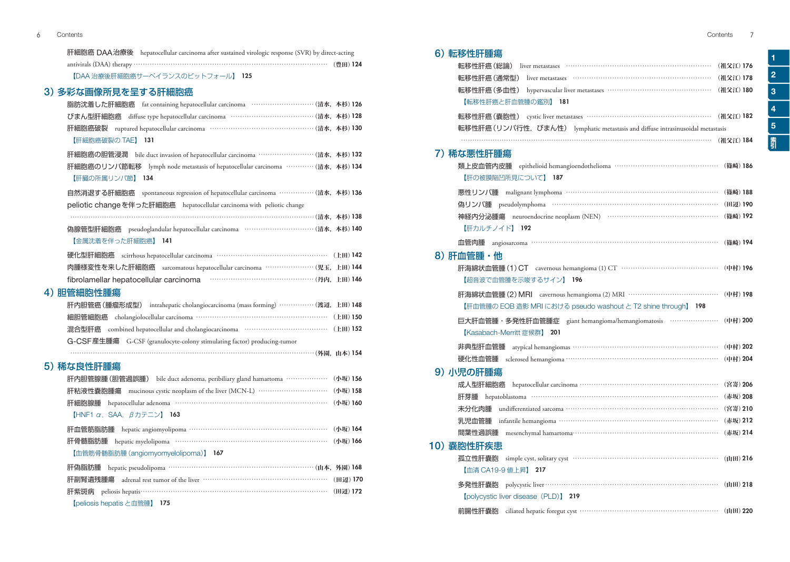| 肝細胞癌 DAA治療後 hepatocellular carcinoma after sustained virologic response (SVR) by direct-acting |  |
|------------------------------------------------------------------------------------------------|--|
| antivirals (DAA) therapy …………………………………………………………………… (豊田) 124                                   |  |
| 【DAA 治療後肝細胞癌サーベイランスのピットフォール】 125                                                               |  |
| 3) 多彩な画像所見を呈する肝細胞癌                                                                             |  |
| 脂肪沈着した肝細胞癌 fat containing hepatocellular carcinoma ······························ (清水, 本杉) 126 |  |
| diffuse type hepatocellular carcinoma …………………………………… (清水, 本杉) 128<br>びまん型肝細胞癌                  |  |
| 肝細胞癌破裂 ruptured hepatocellular carcinoma …………………………………………… (清水, 本杉) 130                        |  |
| 【肝細胞癌破裂の TAE】<br>131                                                                           |  |
| 肝細胞癌の胆管浸潤 bile duct invasion of hepatocellular carcinoma ……………………… (清水, 本杉) 132                |  |
| 肝細胞癌のリンパ節転移 lymph node metastasis of hepatocellular carcinoma …………(清水, 本杉) 134                 |  |
| 【肝臓の所属リンパ節】<br>- 134                                                                           |  |
| 自然消退する肝細胞癌 spontaneous regression of hepatocellular carcinoma …………… (清水, 本杉) 136               |  |
| peliotic changeを伴った肝細胞癌 hepatocellular carcinoma with peliotic change                          |  |
|                                                                                                |  |
| pseudoglandular hepatocellular carcinoma ………………………………… (清水, 本杉) 140<br>偽腺管型肝細胞癌                |  |
| 【金属沈着を伴った肝細胞癌】 141                                                                             |  |
| 硬化型肝細胞癌 scirrhous hepatocellular carcinoma …………………………………………… (上田) 142                          |  |
| 肉腫様変性を来した肝細胞癌 sarcomatous hepatocellular carcinoma …………………… (児玉, 上田) 144                       |  |
| fibrolamellar hepatocellular carcinoma                                                         |  |
| 4) 胆管細胞性腫瘍                                                                                     |  |
| 肝内胆管癌 (腫瘤形成型) intrahepatic cholangiocarcinoma (mass forming) …………… (渡辺, 上田) 148                |  |
| cholangiolocellular carcinoma …………………………………………………… (上田) 150<br>細胆管細胞癌                          |  |
| 混合型肝癌 combined hepatocellular and cholangiocarcinoma ………………………………… (上田) 152                    |  |
| G-CSF 産生腫瘍 G-CSF (granulocyte-colony stimulating factor) producing-tumor                       |  |
|                                                                                                |  |
| 5) 稀な良性肝腫瘍                                                                                     |  |
| bile duct adenoma, peribiliary gland hamartoma ………………… (小坂) 156<br>肝内胆管腺腫(胆管過誤腫)               |  |
| 肝粘液性嚢胞腫瘍 mucinous cystic neoplasm of the liver (MCN-L) ………………………… (小坂) 158                     |  |
| hepatocellular adenoma ………………………………………………………… (小坂) 160<br>肝細胞腺腫                                |  |
| [HNF1 $\alpha$ , SAA, $\beta$ カテニン] 163                                                        |  |

| 肝血管筋脂肪腫 hepatic angiomyolipoma ……………………………………………………… (小坂) 164         |  |
|-----------------------------------------------------------------------|--|
| 肝骨髄脂肪腫 hepatic myelolipoma ……………………………………………………………… (小坂) 166          |  |
| 【血管筋骨髄脂肪腫 (angiomyomyelolipoma)】 167                                  |  |
| 肝偽脂肪腫 hepatic pseudolipoma ……………………………………………………………… (山本, 外園) 168      |  |
| 肝副腎遺残腫瘍 adrenal rest tumor of the liver ………………………………………………………(田辺) 170 |  |
|                                                                       |  |

【peliosis hepatis と血管腫】 175

| é |
|---|
|   |

3

4

5

霸

## 6)転移性肝腫瘍

| 0丿 牧份性肝腥疡                                                                      |           |
|--------------------------------------------------------------------------------|-----------|
| 転移性肝癌(総論)                                                                      | (祖父江) 176 |
| 転移性肝癌 (通常型)                                                                    | (祖父江) 178 |
| 転移性肝癌 (多血性)                                                                    | (祖父江) 180 |
| 【転移性肝癌と肝血管腫の鑑別】<br>- 181                                                       |           |
| 転移性肝癌 (嚢胞性) cystic liver metastases ……………………………………………………                       | (祖父江) 182 |
| 転移性肝癌 (リンパ行性,びまん性) lymphatic metastasis and diffuse intrasinusoidal metastasis |           |
|                                                                                | (祖父江) 184 |
| 7) 稀な悪性肝腫瘍                                                                     |           |
| 類上皮血管内皮腫 epithelioid hemangioendothelioma ……………………………………… (篠崎) 186             |           |
| 【肝の被膜陥凹所見について】 187                                                             |           |
| 悪性リンパ腫 malignant lymphoma ………………………………………………………… (篠崎) 188                      |           |
| 偽リンパ腫                                                                          |           |
| 神経内分泌腫瘍 neuroendocrine neoplasm (NEN) …………………………………………… (篠崎) 192               |           |
| 【肝力ルチノイド】 192                                                                  |           |
| angiosarcoma …………………………………………………………………………… (篠崎) 194<br>血管肉腫                    |           |
| 8) 肝血管腫・他                                                                      |           |
| 肝海綿状血管腫(1)CT cavernous hemangioma (1) CT …………………………………… (中村) 196               |           |
| 【超音波で血管腫を示唆するサイン】 196                                                          |           |
| 肝海綿状血管腫 (2) MRI cavernous hemangioma (2) MRI …………………………………… (中村) 198           |           |
| 【肝血管腫の EOB 造影 MRI における pseudo washout と T2 shine through】 198                  |           |
| 巨大肝血管腫·多発性肝血管腫症 giant hemangioma/hemangiomatosis ………………… (中村) 200              |           |
| 【Kasabach-Merritt 症候群】 201                                                     |           |
| 非典型肝血管腫 atypical hemangiomas ………………………………………………………… (中村) 202                   |           |
| 硬化性血管腫 sclerosed hemangioma …………………………………………………………… (中村) 204                   |           |
| 9) 小児の肝腫瘍                                                                      |           |
| hepatocellular carcinoma ……………………………………………………… (宮嵜) 206<br>成人型肝細胞癌             |           |
| 肝芽腫                                                                            | (赤坂) 208  |
| 未分化肉腫                                                                          | (宮嵜) 210  |
| 乳児血管腫                                                                          | (赤坂) 212  |
| mesenchymal hamartoma……………………………………………………… (赤坂) 214<br>間葉性過誤腫                  |           |
| 10) 嚢胞性肝疾患                                                                     |           |
| 孤立性肝嚢胞                                                                         | (山田) 216  |
| 【血清 CA19-9 値上昇】 217                                                            |           |
| 多発性肝嚢胞                                                                         | (山田) 218  |
| [polycystic liver disease (PLD)] 219                                           |           |
| ciliated hepatic foregut cyst …………………………………………………… (山田) 220<br>前腸性肝嚢胞          |           |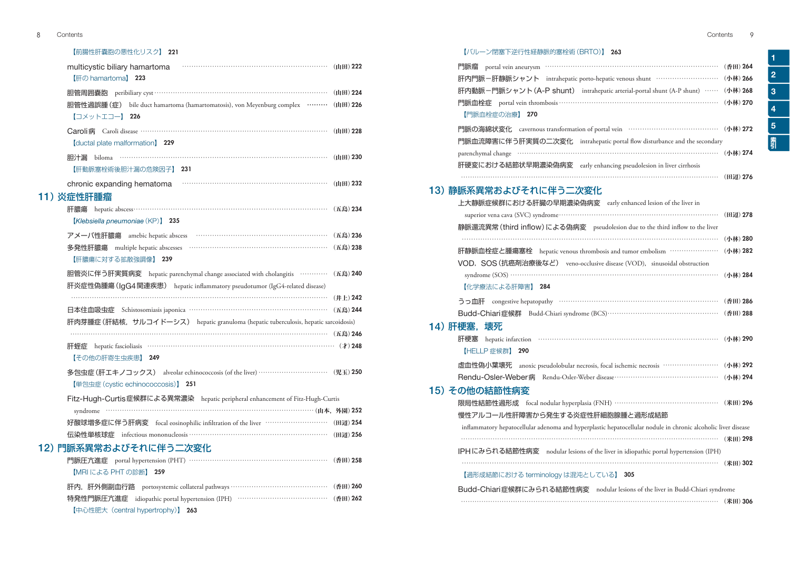#### 【前腸性肝嚢胞の悪性化リスク】 221

| multicystic biliary hamartoma<br>【肝の hamartoma】 223                                                                                                             |          |
|-----------------------------------------------------------------------------------------------------------------------------------------------------------------|----------|
| 胆管周囲囊胞 peribiliary cyst ……………………………………………………………………… (山田) 224                                                                                                    |          |
| 胆管性過誤腫(症)<br>bile duct hamartoma (hamartomatosis), von Meyenburg complex ……… (山田) 226<br>【コメットエコー】 226                                                          |          |
| <b>(ductal plate malformation) 229</b>                                                                                                                          |          |
| biloma $\cdots$ ( $\uparrow$ H) 230<br>胆汁漏<br>【肝動脈塞栓術後胆汁漏の危険因子】 231                                                                                             |          |
|                                                                                                                                                                 |          |
| 11) 炎症性肝腫瘤                                                                                                                                                      |          |
| 肝膿瘍<br>[Klebsiella pneumoniae (KP)] 235                                                                                                                         | (五島) 234 |
| アメーバ性肝膿瘍 amebic hepatic abscess ……………………………………………………                                                                                                            | (五島) 236 |
| 【肝膿瘍に対する拡散強調像】 239                                                                                                                                              | (五島) 238 |
| 胆管炎に伴う肝実質病変 hepatic parenchymal change associated with cholangitis ………… (五島) 240<br>肝炎症性偽腫瘍 (IgG4 関連疾患) hepatic inflammatory pseudotumor (IgG4-related disease) |          |
|                                                                                                                                                                 | (井上) 242 |
| 日本住血吸虫症 Schistosomiasis japonica …………………………………………………… (五島) 244                                                                                                  |          |
| 肝肉芽腫症 (肝結核, サルコイドーシス) hepatic granuloma (hepatic tuberculosis, hepatic sarcoidosis)                                                                             |          |
|                                                                                                                                                                 |          |
| 肝蛭症<br>【その他の肝寄生虫疾患】 249                                                                                                                                         |          |
| 多包虫症 (肝エキノコックス) alveolar echinococcosis (of the liver) ……………………………… (児玉) 250<br>【単包虫症 (cystic echinococcosis)】 251                                              |          |
| Fitz-Hugh-Curtis症候群による異常濃染 hepatic peripheral enhancement of Fitz-Hugh-Curtis                                                                                   |          |
|                                                                                                                                                                 |          |
| 好酸球増多症に伴う肝病変 focal eosinophilic infiltration of the liver ………………………… (田辺) 254                                                                                   |          |
|                                                                                                                                                                 |          |
| 12) 門脈系異常およびそれに伴う二次変化                                                                                                                                           |          |
| 門脈圧亢進症 portal hypertension (PHT) …………………………………………………… (香田) 258<br>【MRI による PHT の診断】<br>259                                                                      |          |
| 肝内, 肝外側副血行路 portosystemic collateral pathways …………………………………… (香田) 260                                                                                           |          |
| 特発性門脈圧亢進症 idiopathic portal hypertension (IPH) ………………………………… (香田) 262<br>【中心性肥大 (central hypertrophy)】 263                                                      |          |

1

2

3

4

5

#### 【バルーン閉塞下逆行性経静脈的塞栓術(BRTO)】 263

| 門脈瘤                                                                            | (香田) 264 |
|--------------------------------------------------------------------------------|----------|
| 肝内門脈-肝静脈シャント intrahepatic porto-hepatic venous shunt ………………………… (小林) 266       |          |
| 肝内動脈-門脈シャント (A-P shunt) intrahepatic arterial-portal shunt (A-P shunt) ……      | (小林) 268 |
|                                                                                | (小林) 270 |
| 【門脈血栓症の治療】 270                                                                 |          |
| 門脈の海綿状変化 cavernous transformation of portal vein …………………………………… (小林) 272       |          |
| 門脈血流障害に伴う肝実質の二次変化 intrahepatic portal flow disturbance and the secondary       |          |
| parenchymal change ………………………………………………………………………………… (小林) 274                    |          |
| 肝硬変における結節状早期濃染偽病変 early enhancing pseudolesion in liver cirrhosis              |          |
|                                                                                |          |
| 13)静脈系異常およびそれに伴う二次変化                                                           |          |
| 上大静脈症候群における肝臓の早期濃染偽病変 early enhanced lesion of the liver in                    |          |
|                                                                                | (田辺) 278 |
| 静脈還流異常 (third inflow) による偽病変 pseudolesion due to the third inflow to the liver |          |
|                                                                                | (小林) 280 |
| 肝静脈血栓症と腫瘍塞栓 hepatic venous thrombosis and tumor embolism …………………… (小林) 282     |          |
| VOD, SOS (抗癌剤治療後など) veno-occlusive disease (VOD), sinusoidal obstruction       |          |
|                                                                                | (小林) 284 |
| 【化学療法による肝障害】 284                                                               |          |

| Budd-Chiari症候群 Budd-Chiari syndrome (BCS)………………………………………… (香田) 288 |  |
|--------------------------------------------------------------------|--|

### 14) 肝梗塞, 壊死

|                                                                                                               | (小林) 290 |
|---------------------------------------------------------------------------------------------------------------|----------|
| 【HELLP 症候群】 290                                                                                               |          |
| 虚血性偽小葉壊死 anoxic pseudolobular necrosis, focal ischemic necrosis ……………………                                      | (小林) 292 |
|                                                                                                               | (小林) 294 |
| 15) その他の結節性病変                                                                                                 |          |
| 限局性結節性過形成 focal nodular hyperplasia (FNH) ………………………………………… (米田) 296                                           |          |
| 慢性アルコール性肝障害から発生する炎症性肝細胞腺腫と過形成結節                                                                               |          |
| inflammatory hepatocellular adenoma and hyperplastic hepatocellular nodule in chronic alcoholic liver disease |          |
|                                                                                                               | (米田) 298 |
| IPHにみられる結節性病変 nodular lesions of the liver in idiopathic portal hypertension (IPH)                            |          |
|                                                                                                               | (米田) 302 |
| 【過形成結節における terminology は混沌としている】 305                                                                          |          |
| Budd-Chiari症候群にみられる結節性病変 nodular lesions of the liver in Budd-Chiari syndrome                                 |          |

…………………………………………………………………………………………………… (米田)306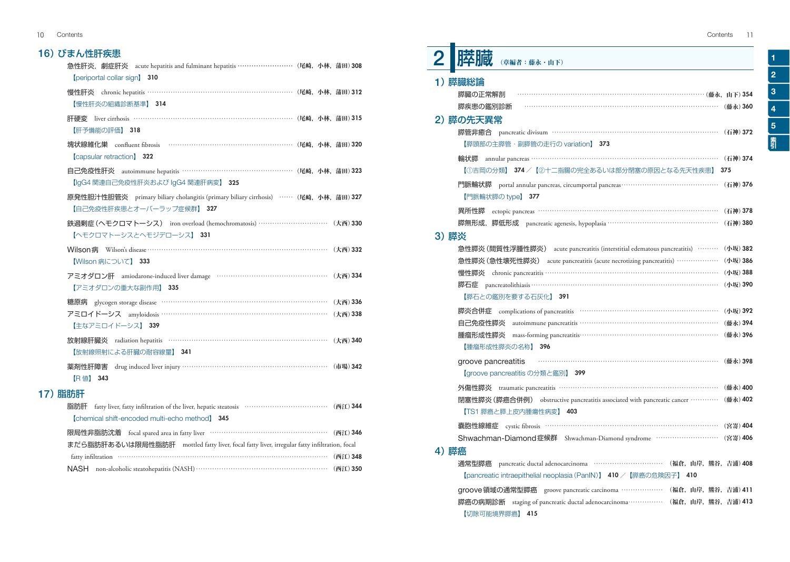| Contents 11 |
|-------------|
|             |

## 16)びまん性肝疾患

|         | 急性肝炎, 劇症肝炎 acute hepatitis and fulminant hepatitis ………………………… (尾崎,小林,蒲田) 308<br>[periportal collar sign] 310     |  |  |
|---------|------------------------------------------------------------------------------------------------------------------|--|--|
|         | 慢性肝炎 chronic hepatitis …………………………………………………………… (尾崎,小林,蒲田) 312<br>【慢性肝炎の組織診断基準】 314                               |  |  |
|         | 肝硬変 liver cirrhosis ………………………………………………………………… (尾崎,小林,蒲田) 315<br>【肝予備能の評価】 318                                    |  |  |
|         | 塊状線維化巣 confluent fibrosis …………………………………………………… (尾崎,小林,蒲田) 320<br><b>[capsular retraction] 322</b>                |  |  |
|         | 自己免疫性肝炎 autoimmune hepatitis …………………………………………… (尾崎,小林,蒲田) 323<br>【IgG4 関連自己免疫性肝炎および IgG4 関連肝病変】 325              |  |  |
|         | 原発性胆汁性胆管炎 primary biliary cholangitis (primary biliary cirrhosis) …… (尾崎,小林,蒲田) 327<br>【自己免疫性肝疾患とオーバーラップ症候群】 327 |  |  |
|         | 鉄過剰症 (ヘモクロマトーシス) iron overload (hemochromatosis) ………………………… (大西) 330<br>【ヘモクロマトーシスとヘモジデローシス】 331                 |  |  |
|         | Wilson病 Wilson's disease ……………………………………………………………………… (大西) 332<br>【Wilson 病について】 333                              |  |  |
|         | アミオダロン肝 amiodarone-induced liver damage ………………………………………… (大西) 334<br>【アミオダロンの重大な副作用】 335                         |  |  |
|         | glycogen storage disease ……………………………………………………………… (大西) 336<br>糖原病                                                |  |  |
|         | アミロイドーシス amyloidosis …………………………………………………………… (大西) 338<br>【主なアミロイドーシス】 339                                        |  |  |
|         | 放射線肝臓炎 radiation hepatitis …………………………………………………………… (大西) 340<br>【放射線照射による肝臓の耐容線量】 341                             |  |  |
|         | 薬剤性肝障害 drug induced liver injury ……………………………………………………… (市場) 342<br><b>[R值] 343</b>                               |  |  |
| 17) 脂肪肝 |                                                                                                                  |  |  |
|         | fatty liver, fatty infiltration of the liver, hepatic steatosis ……………………………………… (西江) 344<br>脂肪肝                  |  |  |
|         | [chemical shift-encoded multi-echo method] 345                                                                   |  |  |

|  | 限局性非脂肪沈着 focal spared area in fatty liver …………………………………………………… (西江) 346                      |  |
|--|----------------------------------------------------------------------------------------------|--|
|  | まだら脂肪肝あるいは限局性脂肪肝 mottled fatty liver, focal fatty liver, irregular fatty infiltration, focal |  |
|  |                                                                                              |  |
|  | NASH non-alcoholic steatohepatitis (NASH) ………………………………………………… (西江) 350                       |  |

1

2

3

4

5

**素** 

| EV.<br>(章編者:藤永·山下)                                                                                                                                                                     |                 |
|----------------------------------------------------------------------------------------------------------------------------------------------------------------------------------------|-----------------|
| 1) 膵臓総論<br>膵臓の正常解剖                                                                                                                                                                     |                 |
| 膵疾患の鑑別診断<br>2) 膵の先天異常<br>膵管非癒合 pancreatic divisum …………………………………………………………… (石神) 372<br>【膵頭部の主膵管・副膵管の走行の variation】 373                                                                  | (藤永) 360        |
| 【①吉岡の分類】 374 / 【2十二指腸の完全あるいは部分閉塞の原因となる先天性疾患】                                                                                                                                           | (石神) 374<br>375 |
| 門脈輪状膵 portal annular pancreas, circumportal pancreas……………………………………<br>【門脈輪状膵の type】 377                                                                                                | (石神) 376        |
| ectopic pancreas ………………………………………………………………… (石神) 378<br>異所性膵<br>膵無形成,膵低形成 pancreatic agenesis, hypoplasia ……………………………………………… (石神) 380<br>3)膵炎                                           |                 |
| 急性膵炎 (間質性浮腫性膵炎) acute pancreatitis (interstitial edematous pancreatitis) ……… (小坂) 382<br>急性膵炎 (急性壊死性膵炎) acute pancreatitis (acute necrotizing pancreatitis) ………………                     | (小坂) 386        |
| 慢性膵炎 chronic pancreatitis ………………………………………………………………… (小坂) 388<br>【膵石との鑑別を要する石灰化】 391                                                                                                    |                 |
| 膵炎合併症 complications of pancreatitis …………………………………………………… (小坂) 392<br>自己免疫性膵炎                                                                                                           |                 |
| 腫瘤形成性膵炎<br>【腫瘤形成性膵炎の名称】<br>396                                                                                                                                                         |                 |
| groove pancreatitis<br>【groove pancreatitis の分類と鑑別】 399                                                                                                                                | (藤永) 398        |
| 外傷性膵炎 traumatic pancreatitis ………………………………………………………………… (藤永) 400<br>閉塞性膵炎 (膵癌合併例) obstructive pancreatitis associated with pancreatic cancer ………… (藤永) 402<br>【TS1 膵癌と膵上皮内腫瘍性病変】<br>403 |                 |
| 囊胞性線維症 cystic fibrosis …………………………………………………………………… (宮嵜) 404<br>Shwachman-Diamond症候群 Shwachman-Diamond syndrome ……………………… (宮嵜) 406                                                       |                 |
| 4) 膵癌<br>pancreatic ductal adenocarcinoma …………………………………… (福倉, 山岸, 熊谷, 吉浦) 408<br>通常型膵癌<br>410<br>【pancreatic intraepithelial neoplasia (PanIN)】 410 / 【膵癌の危険因子】                        |                 |
| groove領域の通常型膵癌 groove pancreatic carcinoma ………………<br>(福倉,山岸,熊谷,吉浦)411<br>膵癌の病期診断 staging of pancreatic ductal adenocarcinoma………………(福倉,山岸,熊谷,吉浦)413<br>【切除可能境界膵癌】<br>- 415              |                 |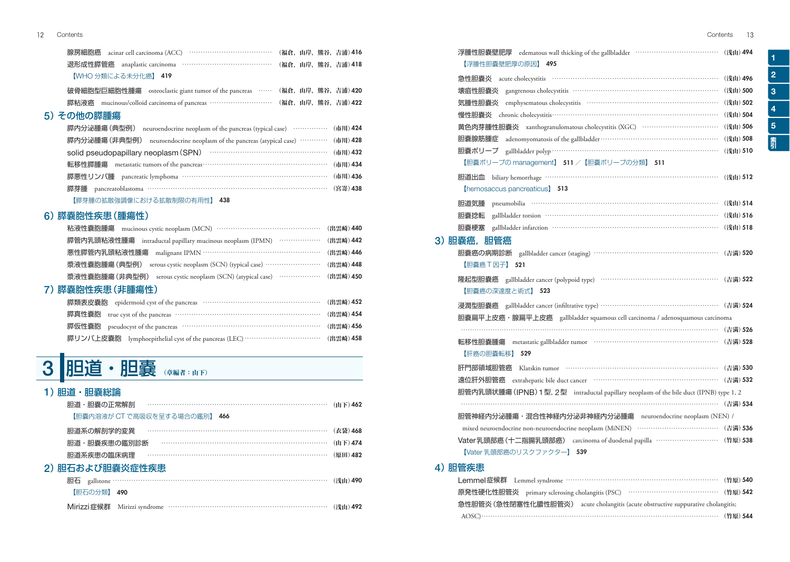| - 退形成性膵管癌 - anaplastic carcinoma - ……………………………………………(福倉,山岸,熊谷,吉浦) 418 -                                         |  |  |
|-----------------------------------------------------------------------------------------------------------------|--|--|
| 【WHO 分類による未分化癌】 419                                                                                             |  |  |
| THO REAL THE MARK THE THE MARK AND THE MARKED ASSESS THE MARK THE MARKED THE MARKED THE MARKED MARKED MARKED MA |  |  |

|  | "吸有和胞生已和胞性腥疡" osteociastic giant tunior of the pancreas " " " (簡音, 再开, 熙骨, 日佣/#20 |  |  |  |  |
|--|-----------------------------------------------------------------------------------|--|--|--|--|
|  |                                                                                   |  |  |  |  |

## 5)その他の膵腫瘍

| 膵内分泌腫瘍 (典型例) neuroendocrine neoplasm of the pancreas (typical case) …………… (市川) 424  |  |
|-------------------------------------------------------------------------------------|--|
| 膵内分泌腫瘍 (非典型例) neuroendocrine neoplasm of the pancreas (atypical case) ………… (市川) 428 |  |
| solid pseudopapillary neoplasm (SPN) ……………………………………………… (市川) 432                    |  |
|                                                                                     |  |
| 膵悪性リンパ腫 pancreatic lymphoma …………………………………………………………… (市川) 436                        |  |
| 膵芽腫 pancreatoblastoma …………………………………………………………………………(宮嵜)438                           |  |
|                                                                                     |  |

#### 【膵芽腫の拡散強調像における拡散制限の有用性】 438

### 6)膵嚢胞性疾患(腫瘍性)

| 粘液性嚢胞腫瘍 mucinous cystic neoplasm (MCN) ………………………………………………………(出雲崎) 440                                      |  |
|------------------------------------------------------------------------------------------------------------|--|
| 膵管内乳頭粘液性腫瘍<br>intraductal papillary mucinous neoplasm (IPMN) $\cdots$ $\cdots$ $\cdots$ $\cdots$ (出雲崎) 442 |  |
| 悪性膵管内乳頭粘液性腫瘍<br>malignant IPMN …………………………………………………… (出雲崎) 446                                              |  |
| 漿液性嚢胞腫瘍(典型例)<br>serous cystic neoplasm (SCN) (typical case) …………………………………… (出雲崎) 448                       |  |
| 漿液性嚢胞腫瘍(非典型例)                                                                                              |  |
| 装夷的州佐串 (北陆宿州)                                                                                              |  |

## 7)膵嚢胞性疾患(非腫瘍性)

| 膵類表皮嚢胞 epidermoid cyst of the pancreas ………………………………………………………… (出雲崎) 452        |  |
|--------------------------------------------------------------------------------|--|
|                                                                                |  |
|                                                                                |  |
| 膵リンパ上皮嚢胞 lymphoepithelial cyst of the pancreas (LEC) ……………………………………… (出雲崎) 458 |  |

# 3 胆道・胆嚢 (章編者:山下)

#### 1) 胆道・胆嚢総論

| 胆道·胆囊の正常解剖 ……………………………………………………………………… (山下)462                                                                                                                                                                                                                                                                                                                                                                                                                                                             |          |
|------------------------------------------------------------------------------------------------------------------------------------------------------------------------------------------------------------------------------------------------------------------------------------------------------------------------------------------------------------------------------------------------------------------------------------------------------------------------------------------------------------|----------|
| 【胆嚢内溶液が CT で高吸収を呈する場合の鑑別】 466                                                                                                                                                                                                                                                                                                                                                                                                                                                                              |          |
| 胆道系の解剖学的変異                                                                                                                                                                                                                                                                                                                                                                                                                                                                                                 | (衣袋) 468 |
| $\begin{minipage}{.4\linewidth} \begin{tabular}{l} \hline \multicolumn{3}{l}{} & \multicolumn{3}{l}{} & \multicolumn{3}{l}{} & \multicolumn{3}{l}{} \\ \multicolumn{3}{l}{} & \multicolumn{3}{l}{} & \multicolumn{3}{l}{} & \multicolumn{3}{l}{} \\ \multicolumn{3}{l}{} & \multicolumn{3}{l}{} & \multicolumn{3}{l}{} & \multicolumn{3}{l}{} \\ \multicolumn{3}{l}{} & \multicolumn{3}{l}{} & \multicolumn{3}{l}{} & \multicolumn{3}{l}{} \\ \multicolumn{3}{l}{} & \multicolumn{3}{l}{}$<br>胆道・胆嚢疾患の鑑別診断 | (山下) 474 |
| 胆道系疾患の臨床病理                                                                                                                                                                                                                                                                                                                                                                                                                                                                                                 | (原田) 482 |
| 2) 胆石および胆嚢炎症性疾患                                                                                                                                                                                                                                                                                                                                                                                                                                                                                            |          |
|                                                                                                                                                                                                                                                                                                                                                                                                                                                                                                            |          |
| 【胆石の分類】 490                                                                                                                                                                                                                                                                                                                                                                                                                                                                                                |          |
| Mirizzi症候群 Mirizzi syndrome …………………………………………………………… (浅山) 492                                                                                                                                                                                                                                                                                                                                                                                                                                               |          |

| 浮腫性胆嚢壁肥厚 edematous wall thicking of the gallbladder ………………………………… (浅山) 494<br>【浮腫性胆嚢壁肥厚の原因】<br>- 495                                                                                                                                    |          |
|-----------------------------------------------------------------------------------------------------------------------------------------------------------------------------------------------------------------------------------------|----------|
| acute cholecystitis (1000) contract to the contract of the contract of the contract of the contract of the contract of the contract of the contract of the contract of the contract of the contract of the contract of the con<br>急性胆囊炎 | (浅山) 496 |
| 壊疽性胆嚢炎                                                                                                                                                                                                                                  |          |
| emphysematous cholecystitis …………………………………………………… (浅山) 502<br>気腫性胆嚢炎                                                                                                                                                                     |          |
|                                                                                                                                                                                                                                         | (浅山) 504 |
| 黄色肉芽腫性胆囊炎 xanthogranulomatous cholecystitis (XGC) …………………………… (浅山) 506                                                                                                                                                                  |          |
| 胆嚢腺筋腫症                                                                                                                                                                                                                                  | (浅山) 508 |
| 胆嚢ポリープ gallbladder polyp ……………………………………………………………… (浅山) 510                                                                                                                                                                              |          |
| 【胆嚢ポリープの management】 511 / 【胆嚢ポリープの分類】 511                                                                                                                                                                                              |          |
| 胆道出血                                                                                                                                                                                                                                    |          |
| [hemosaccus pancreaticus] 513                                                                                                                                                                                                           |          |
| 胆道気腫                                                                                                                                                                                                                                    |          |
| 胆囊捻転                                                                                                                                                                                                                                    | (浅山) 516 |
| gallbladder infarction ………………………………………………………… (浅山) 518<br>胆嚢梗塞                                                                                                                                                                          |          |
| 3) 胆嚢癌,胆管癌                                                                                                                                                                                                                              |          |
| 胆嚢癌の病期診断 gallbladder cancer (staging) ……………………………………………… (吉満) 520                                                                                                                                                                       |          |
| 【胆囊癌 T 因子】 521                                                                                                                                                                                                                          |          |
| 隆起型胆囊癌 gallbladder cancer (polypoid type) ………………………………………… (吉満) 522                                                                                                                                                                     |          |
| 【胆嚢癌の深達度と術式】 523                                                                                                                                                                                                                        |          |
| 浸潤型胆囊癌 gallbladder cancer (infiltrative type) …………………………………………… (吉満) 524                                                                                                                                                                |          |
| 胆嚢扁平上皮癌・腺扁平上皮癌 gallbladder squamous cell carcinoma / adenosquamous carcinoma                                                                                                                                                            |          |
|                                                                                                                                                                                                                                         |          |
| metastatic gallbladder tumor (吉満) 528<br>転移性胆嚢腫瘍                                                                                                                                                                                        |          |
| 【肝癌の胆嚢転移】<br>529                                                                                                                                                                                                                        |          |
| 肝門部領域胆管癌                                                                                                                                                                                                                                | (吉満) 530 |
| 遠位肝外胆管癌 extrahepatic bile duct cancer<br>………………………………………………… (吉満) 532                                                                                                                                                                   |          |
| 胆管内乳頭状腫瘍 (IPNB) 1 型, 2 型 intraductal papillary neoplasm of the bile duct (IPNB) type 1, 2                                                                                                                                               |          |
|                                                                                                                                                                                                                                         | (吉満) 534 |
| 胆管神経内分泌腫瘍・混合性神経内分泌非神経内分泌腫瘍 neuroendocrine neoplasm (NEN) /                                                                                                                                                                              |          |
| mixed neuroendocrine non-neuroendocrine neoplasm (MiNEN) …………………………………… (吉満) 536                                                                                                                                                        |          |
| Vater乳頭部癌 (十二指腸乳頭部癌) carcinoma of duodenal papilla ………………………… (竹原) 538                                                                                                                                                                  |          |
| 【Vater 乳頭部癌のリスクファクター】 539                                                                                                                                                                                                               |          |

#### 4)胆管疾患

|  | Lemmel症候群 Lemmel syndrome ………………………………………………………… (竹原) 540                         |  |
|--|-----------------------------------------------------------------------------------|--|
|  | 原発性硬化性胆管炎 primary sclerosing cholangitis (PSC) …………………………………… (竹原) 542            |  |
|  | 急性胆管炎 (急性閉塞性化膿性胆管炎) acute cholangitis (acute obstructive suppurative cholangitis; |  |
|  |                                                                                   |  |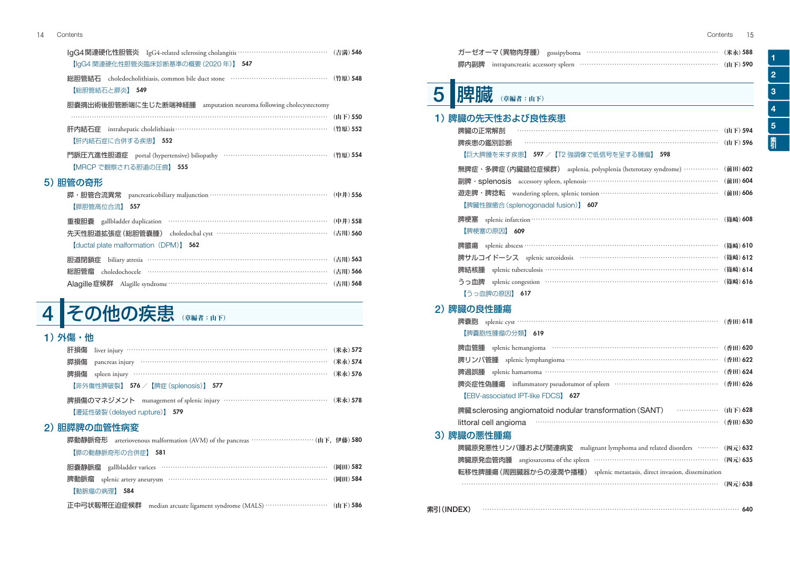| IgG4関連硬化性胆管炎 IgG4-related sclerosing cholangitis ………………………………… (吉満) 546                                                                                                                                                                                                                                                                                                                                                                                                                                                                |          |
|----------------------------------------------------------------------------------------------------------------------------------------------------------------------------------------------------------------------------------------------------------------------------------------------------------------------------------------------------------------------------------------------------------------------------------------------------------------------------------------------------------------------------------------|----------|
| 【IgG4 関連硬化性胆管炎臨床診断基準の概要 (2020年)】 547                                                                                                                                                                                                                                                                                                                                                                                                                                                                                                   |          |
| 総胆管結石 choledocholithiasis, common bile duct stone ……………………………………… (竹原) 548                                                                                                                                                                                                                                                                                                                                                                                                                                                             |          |
| 【総胆管結石と膵炎】 549                                                                                                                                                                                                                                                                                                                                                                                                                                                                                                                         |          |
| 胆嚢摘出術後胆管断端に生じた断端神経腫 amputation neuroma following cholecystectomy                                                                                                                                                                                                                                                                                                                                                                                                                                                                       |          |
| $\cdots$ ( $\mu$ T) 550                                                                                                                                                                                                                                                                                                                                                                                                                                                                                                                |          |
| 肝内結石症 intrahepatic cholelithiasis…………………………………………………………………… (竹原) 552                                                                                                                                                                                                                                                                                                                                                                                                                                                                   |          |
| 【肝内結石症に合併する疾患】 552                                                                                                                                                                                                                                                                                                                                                                                                                                                                                                                     |          |
| 門脈圧亢進性胆道症 portal (hypertensive) biliopathy ………………………………………… (竹原) 554                                                                                                                                                                                                                                                                                                                                                                                                                                                                   |          |
| 【MRCP で観察される胆道の圧痕】 555                                                                                                                                                                                                                                                                                                                                                                                                                                                                                                                 |          |
| 5) 胆管の奇形                                                                                                                                                                                                                                                                                                                                                                                                                                                                                                                               |          |
| 膵・胆管合流異常 pancreaticobiliary maljunction …………………………………………………… (中井) 556                                                                                                                                                                                                                                                                                                                                                                                                                                                                  |          |
| 【膵胆管高位合流】 557                                                                                                                                                                                                                                                                                                                                                                                                                                                                                                                          |          |
| 重複胆嚢 gallbladder duplication …………………………………………………………… (中井) 558                                                                                                                                                                                                                                                                                                                                                                                                                                                                          |          |
| 先天性胆道拡張症 (総胆管嚢腫) choledochal cyst ………………………………………… (古川) 560                                                                                                                                                                                                                                                                                                                                                                                                                                                                            |          |
| [ductal plate malformation (DPM)] 562                                                                                                                                                                                                                                                                                                                                                                                                                                                                                                  |          |
| biliary atresia communication and the state of the state of the state of the state of the state of the state of the state of the state of the state of the state of the state of the state of the state of the state of the st<br>胆道閉鎖症                                                                                                                                                                                                                                                                                                | (古川) 563 |
| $\label{thm:co-1} \text{choledochocele}\qquad \qquad \cdots \qquad \qquad \cdots \qquad \qquad \cdots \qquad \qquad \cdots \qquad \qquad \cdots \qquad \qquad \cdots \qquad \qquad \cdots \qquad \qquad \cdots \qquad \qquad \cdots \qquad \qquad \cdots \qquad \qquad \cdots \qquad \qquad \cdots \qquad \qquad \cdots \qquad \qquad \cdots \qquad \qquad \cdots \qquad \qquad \cdots \qquad \qquad \cdots \qquad \qquad \cdots \qquad \qquad \cdots \qquad \qquad \cdots \qquad \qquad \cdots \qquad \qquad \cdots \qquad \$<br>総胆管瘤 | (古川) 566 |
| Alagille症候群 Alagille syndrome ……………………………………………………………… (古川) 568                                                                                                                                                                                                                                                                                                                                                                                                                                                                        |          |
|                                                                                                                                                                                                                                                                                                                                                                                                                                                                                                                                        |          |
|                                                                                                                                                                                                                                                                                                                                                                                                                                                                                                                                        |          |

# 4 その他の疾患 (章編者:山下)

## 1) 外傷・他

| 肝損傷 liver injury …………………………………………………………………………………… (米永) 572        |  |
|-------------------------------------------------------------------|--|
| 膵損傷 pancreas injury ……………………………………………………………………………… (米永) 574       |  |
| 脾損傷 spleen injury ……………………………………………………………………………………… (米永) 576      |  |
| 【非外傷性脾破裂】 576 /【脾症 (splenosis)】 577                               |  |
| 脾損傷のマネジメント management of splenic injury ………………………………………… (米永) 578 |  |
| 【遷延性破裂 (delayed rupture)】 579                                     |  |
|                                                                   |  |

## 2)胆膵脾の血管性病変

| 膵動静脈奇形 arteriovenous malformation (AVM) of the pancreas …………………………… (山下, 伊藤) 580 |  |
|----------------------------------------------------------------------------------|--|
| 【膵の動静脈奇形の合併症】 581                                                                |  |
| 胆囊静脈瘤 gallbladder varices …………………………………………………………………… (岡田) 582                    |  |
| 脾動脈瘤 splenic artery aneurysm …………………………………………………………………… (岡田) 584                 |  |
| 【動脈瘤の病理】 584                                                                     |  |
| 正中弓状靱帯圧迫症候群                                                                      |  |

| ガーゼオーマ (異物肉芽腫) gossipyboma ………………………………………………… (米永) 588                  |          |
|--------------------------------------------------------------------------|----------|
| intrapancreatic accessory spleen …………………………………………………… (山下) 590<br>膵内副脾   |          |
| 脾臓<br>(章編者:山下)                                                           |          |
| 1)脾臓の先天性および良性疾患                                                          |          |
| 脾臓の正常解剖                                                                  | (山下) 594 |
| 脾疾患の鑑別診断                                                                 | (山下) 596 |
| 【巨大脾腫を来す疾患】 597 / 【T2 強調像で低信号を呈する腫瘤】 598                                 |          |
| 無脾症・多脾症 (内臓錯位症候群) asplenia, polysplenia (heterotaxy syndrome) ……………      | (前田) 602 |
|                                                                          | (前田) 604 |
|                                                                          | (前田) 606 |
| 【脾臓性腺癒合 (splenogonadal fusion)】 607                                      |          |
| 脾梗塞                                                                      | (篠崎) 608 |
| 【脾梗塞の原因】 609                                                             |          |
| 脾膿瘍                                                                      | (篠崎) 610 |
| 脾サルコイドーシス splenic sarcoidosis …………………………………………………… (篠崎)612               |          |
| splenic tuberculosis …………………………………………………………… (篠崎) 614<br>脾結核腫            |          |
| splenic congestion ……………………………………………………………………… (篠崎)616<br>うっ血脾           |          |
| 【うっ血脾の原因】 617                                                            |          |
| 2) 脾臓の良性腫瘍                                                               |          |
|                                                                          | (香田) 618 |
| 【脾嚢胞性腫瘤の分類】 619                                                          |          |
|                                                                          | (香田) 620 |
| 脾リンパ管腫 splenic lymphangioma ………………………………………………………… (香田) 622              |          |
| splenic hamartoma ………………………………………………………… (香田) 624<br>脾過誤腫                |          |
| 脾炎症性偽腫瘍 inflammatory pseudotumor of spleen ……………………………………… (香田) 626      |          |
| <b>[EBV-associated IPT-like FDCS] 627</b>                                |          |
| 脾臓 sclerosing angiomatoid nodular transformation (SANT) ………………… (山下) 628 |          |
| littoral cell angioma                                                    |          |
| 3) 脾臓の悪性腫瘍                                                               |          |
| 脾臓原発悪性リンパ腫および関連病変 malignant lymphoma and related disorders ……… (四元) 632  |          |
| 脾臓原発血管肉腫 angiosarcoma of the spleen ………………………………………………… (四元) 635         |          |
| 転移性脾腫瘍 (周囲臓器からの浸潤や播種) splenic metastasis, direct invasion, dissemination |          |
|                                                                          | (四元) 638 |

1

2

3

4

5

素